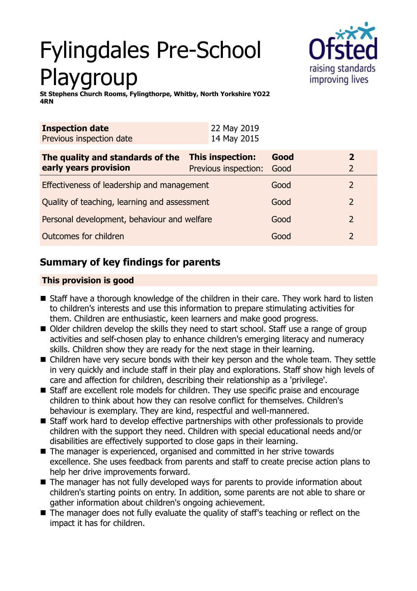# Fylingdales Pre-School Playgroup



**St Stephens Church Rooms, Fylingthorpe, Whitby, North Yorkshire YO22 4RN**

| <b>Inspection date</b>   | 22 May 2019 |
|--------------------------|-------------|
| Previous inspection date | 14 May 2015 |

| The quality and standards of the             | This inspection:          | Good | 2             |
|----------------------------------------------|---------------------------|------|---------------|
| early years provision                        | Previous inspection: Good |      |               |
| Effectiveness of leadership and management   |                           | Good |               |
| Quality of teaching, learning and assessment |                           | Good | $\mathcal{P}$ |
| Personal development, behaviour and welfare  |                           | Good | $\mathcal{P}$ |
| Outcomes for children                        |                           | Good | $\mathcal{P}$ |

## **Summary of key findings for parents**

## **This provision is good**

- Staff have a thorough knowledge of the children in their care. They work hard to listen to children's interests and use this information to prepare stimulating activities for them. Children are enthusiastic, keen learners and make good progress.
- Older children develop the skills they need to start school. Staff use a range of group activities and self-chosen play to enhance children's emerging literacy and numeracy skills. Children show they are ready for the next stage in their learning.
- Children have very secure bonds with their key person and the whole team. They settle in very quickly and include staff in their play and explorations. Staff show high levels of care and affection for children, describing their relationship as a 'privilege'.
- Staff are excellent role models for children. They use specific praise and encourage children to think about how they can resolve conflict for themselves. Children's behaviour is exemplary. They are kind, respectful and well-mannered.
- Staff work hard to develop effective partnerships with other professionals to provide children with the support they need. Children with special educational needs and/or disabilities are effectively supported to close gaps in their learning.
- The manager is experienced, organised and committed in her strive towards excellence. She uses feedback from parents and staff to create precise action plans to help her drive improvements forward.
- The manager has not fully developed ways for parents to provide information about children's starting points on entry. In addition, some parents are not able to share or gather information about children's ongoing achievement.
- The manager does not fully evaluate the quality of staff's teaching or reflect on the impact it has for children.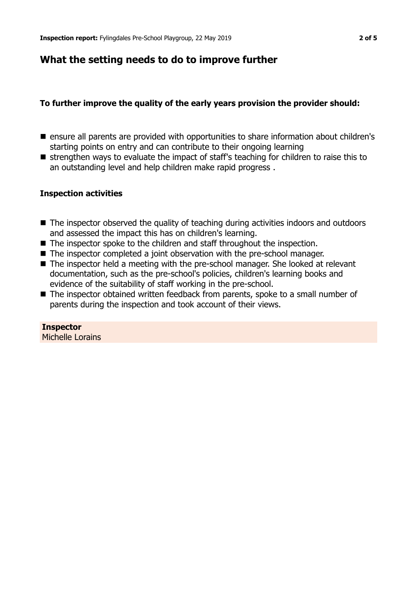## **What the setting needs to do to improve further**

## **To further improve the quality of the early years provision the provider should:**

- ensure all parents are provided with opportunities to share information about children's starting points on entry and can contribute to their ongoing learning
- $\blacksquare$  strengthen ways to evaluate the impact of staff's teaching for children to raise this to an outstanding level and help children make rapid progress .

## **Inspection activities**

- $\blacksquare$  The inspector observed the quality of teaching during activities indoors and outdoors and assessed the impact this has on children's learning.
- $\blacksquare$  The inspector spoke to the children and staff throughout the inspection.
- The inspector completed a joint observation with the pre-school manager.
- The inspector held a meeting with the pre-school manager. She looked at relevant documentation, such as the pre-school's policies, children's learning books and evidence of the suitability of staff working in the pre-school.
- The inspector obtained written feedback from parents, spoke to a small number of parents during the inspection and took account of their views.

## **Inspector**

Michelle Lorains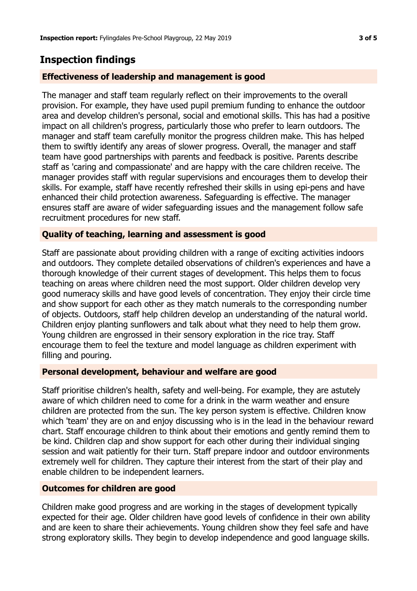## **Inspection findings**

#### **Effectiveness of leadership and management is good**

The manager and staff team regularly reflect on their improvements to the overall provision. For example, they have used pupil premium funding to enhance the outdoor area and develop children's personal, social and emotional skills. This has had a positive impact on all children's progress, particularly those who prefer to learn outdoors. The manager and staff team carefully monitor the progress children make. This has helped them to swiftly identify any areas of slower progress. Overall, the manager and staff team have good partnerships with parents and feedback is positive. Parents describe staff as 'caring and compassionate' and are happy with the care children receive. The manager provides staff with regular supervisions and encourages them to develop their skills. For example, staff have recently refreshed their skills in using epi-pens and have enhanced their child protection awareness. Safeguarding is effective. The manager ensures staff are aware of wider safeguarding issues and the management follow safe recruitment procedures for new staff.

## **Quality of teaching, learning and assessment is good**

Staff are passionate about providing children with a range of exciting activities indoors and outdoors. They complete detailed observations of children's experiences and have a thorough knowledge of their current stages of development. This helps them to focus teaching on areas where children need the most support. Older children develop very good numeracy skills and have good levels of concentration. They enjoy their circle time and show support for each other as they match numerals to the corresponding number of objects. Outdoors, staff help children develop an understanding of the natural world. Children enjoy planting sunflowers and talk about what they need to help them grow. Young children are engrossed in their sensory exploration in the rice tray. Staff encourage them to feel the texture and model language as children experiment with filling and pouring.

#### **Personal development, behaviour and welfare are good**

Staff prioritise children's health, safety and well-being. For example, they are astutely aware of which children need to come for a drink in the warm weather and ensure children are protected from the sun. The key person system is effective. Children know which 'team' they are on and enjoy discussing who is in the lead in the behaviour reward chart. Staff encourage children to think about their emotions and gently remind them to be kind. Children clap and show support for each other during their individual singing session and wait patiently for their turn. Staff prepare indoor and outdoor environments extremely well for children. They capture their interest from the start of their play and enable children to be independent learners.

#### **Outcomes for children are good**

Children make good progress and are working in the stages of development typically expected for their age. Older children have good levels of confidence in their own ability and are keen to share their achievements. Young children show they feel safe and have strong exploratory skills. They begin to develop independence and good language skills.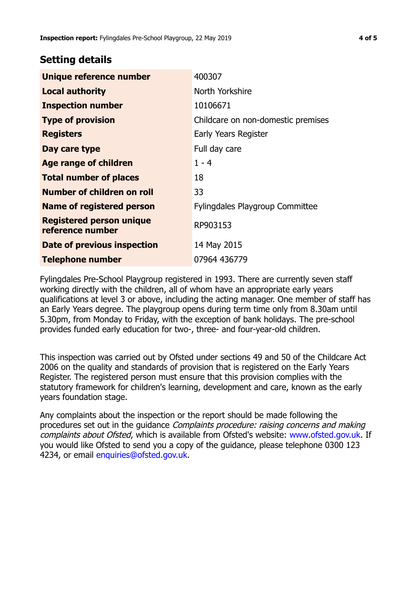## **Setting details**

| Unique reference number                             | 400307                                 |
|-----------------------------------------------------|----------------------------------------|
| <b>Local authority</b>                              | North Yorkshire                        |
| <b>Inspection number</b>                            | 10106671                               |
| <b>Type of provision</b>                            | Childcare on non-domestic premises     |
| <b>Registers</b>                                    | Early Years Register                   |
| Day care type                                       | Full day care                          |
| Age range of children                               | $1 - 4$                                |
| <b>Total number of places</b>                       | 18                                     |
| Number of children on roll                          | 33                                     |
| <b>Name of registered person</b>                    | <b>Fylingdales Playgroup Committee</b> |
| <b>Registered person unique</b><br>reference number | RP903153                               |
| Date of previous inspection                         | 14 May 2015                            |
| <b>Telephone number</b>                             | 07964 436779                           |

Fylingdales Pre-School Playgroup registered in 1993. There are currently seven staff working directly with the children, all of whom have an appropriate early years qualifications at level 3 or above, including the acting manager. One member of staff has an Early Years degree. The playgroup opens during term time only from 8.30am until 5.30pm, from Monday to Friday, with the exception of bank holidays. The pre-school provides funded early education for two-, three- and four-year-old children.

This inspection was carried out by Ofsted under sections 49 and 50 of the Childcare Act 2006 on the quality and standards of provision that is registered on the Early Years Register. The registered person must ensure that this provision complies with the statutory framework for children's learning, development and care, known as the early years foundation stage.

Any complaints about the inspection or the report should be made following the procedures set out in the guidance Complaints procedure: raising concerns and making complaints about Ofsted, which is available from Ofsted's website: www.ofsted.gov.uk. If you would like Ofsted to send you a copy of the guidance, please telephone 0300 123 4234, or email [enquiries@ofsted.gov.uk.](mailto:enquiries@ofsted.gov.uk)